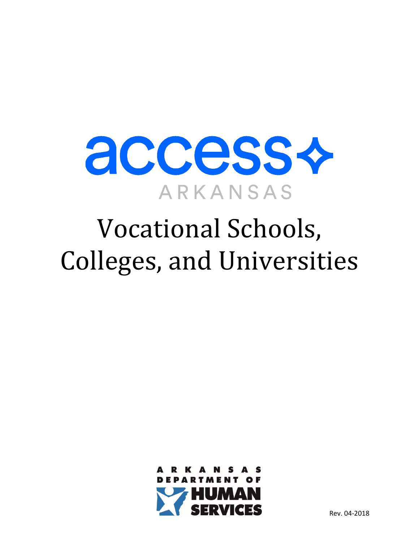

## Vocational Schools, Colleges, and Universities

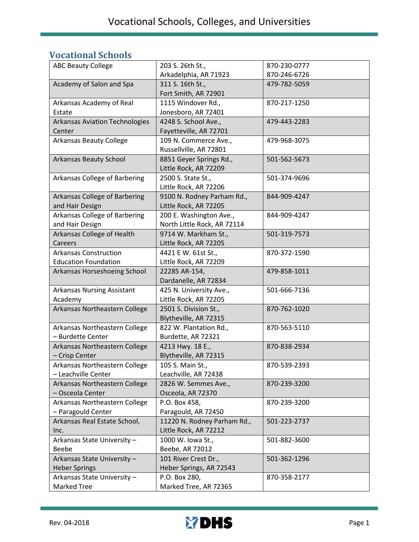## **Vocational Schools**

| <b>ABC Beauty College</b>             | 203 S. 26th St.,            | 870-230-0777 |
|---------------------------------------|-----------------------------|--------------|
|                                       | Arkadelphia, AR 71923       | 870-246-6726 |
| Academy of Salon and Spa              | 311 S. 16th St.,            | 479-782-5059 |
|                                       | Fort Smith, AR 72901        |              |
| Arkansas Academy of Real              | 1115 Windover Rd.,          | 870-217-1250 |
| Estate                                | Jonesboro, AR 72401         |              |
| <b>Arkansas Aviation Technologies</b> | 4248 S. School Ave.,        | 479-443-2283 |
| Center                                | Fayetteville, AR 72701      |              |
| <b>Arkansas Beauty College</b>        | 109 N. Commerce Ave.,       | 479-968-3075 |
|                                       | Russellville, AR 72801      |              |
| <b>Arkansas Beauty School</b>         | 8851 Geyer Springs Rd.,     | 501-562-5673 |
|                                       | Little Rock, AR 72209       |              |
| Arkansas College of Barbering         | 2500 S. State St.,          | 501-374-9696 |
|                                       | Little Rock, AR 72206       |              |
| Arkansas College of Barbering         | 9100 N. Rodney Parham Rd.,  | 844-909-4247 |
| and Hair Design                       | Little Rock, AR 72205       |              |
| Arkansas College of Barbering         | 200 E. Washington Ave.,     | 844-909-4247 |
| and Hair Design                       | North Little Rock, AR 72114 |              |
| Arkansas College of Health            | 9714 W. Markham St.,        | 501-319-7573 |
| Careers                               | Little Rock, AR 72205       |              |
| <b>Arkansas Construction</b>          | 4421 E W. 61st St.,         | 870-372-1590 |
| <b>Education Foundation</b>           | Little Rock, AR 72209       |              |
| Arkansas Horseshoeing School          | 22285 AR-154,               | 479-858-1011 |
|                                       | Dardanelle, AR 72834        |              |
| <b>Arkansas Nursing Assistant</b>     | 425 N. University Ave.,     | 501-666-7136 |
| Academy                               | Little Rock, AR 72205       |              |
| Arkansas Northeastern College         | 2501 S. Division St.,       | 870-762-1020 |
|                                       | Blytheville, AR 72315       |              |
| Arkansas Northeastern College         | 822 W. Plantation Rd.,      | 870-563-5110 |
| - Burdette Center                     | Burdette, AR 72321          |              |
| Arkansas Northeastern College         | 4213 Hwy. 18 E.,            | 870-838-2934 |
| - Crisp Center                        | Blytheville, AR 72315       |              |
| Arkansas Northeastern College         | 105 S. Main St.,            | 870-539-2393 |
| - Leachville Center                   | Leachville, AR 72438        |              |
| Arkansas Northeastern College         | 2826 W. Semmes Ave.,        | 870-239-3200 |
| - Osceola Center                      | Osceola, AR 72370           |              |
| Arkansas Northeastern College         | P.O. Box 458,               | 870-239-3200 |
| - Paragould Center                    | Paragould, AR 72450         |              |
| Arkansas Real Estate School,          | 11220 N. Rodney Parham Rd., | 501-223-2737 |
| Inc.                                  | Little Rock, AR 72212       |              |
| Arkansas State University -           | 1000 W. Iowa St.,           | 501-882-3600 |
| <b>Beebe</b>                          | Beebe, AR 72012             |              |
| Arkansas State University -           | 101 River Crest Dr.,        | 501-362-1296 |
| <b>Heber Springs</b>                  | Heber Springs, AR 72543     |              |
| Arkansas State University -           | P.O. Box 280,               | 870-358-2177 |
| Marked Tree                           | Marked Tree, AR 72365       |              |

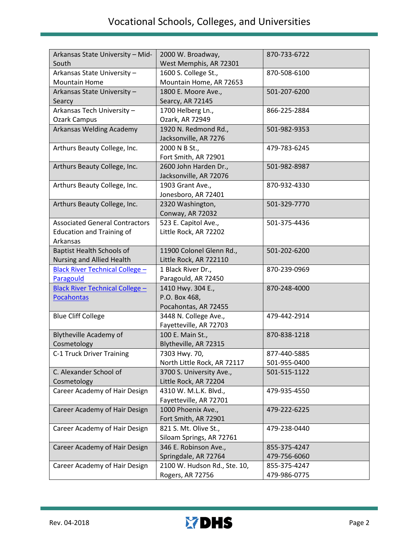| Arkansas State University - Mid-<br>South | 2000 W. Broadway,<br>West Memphis, AR 72301 | 870-733-6722 |
|-------------------------------------------|---------------------------------------------|--------------|
| Arkansas State University -               | 1600 S. College St.,                        | 870-508-6100 |
| <b>Mountain Home</b>                      | Mountain Home, AR 72653                     |              |
| Arkansas State University -               | 1800 E. Moore Ave.,                         | 501-207-6200 |
| Searcy                                    | Searcy, AR 72145                            |              |
| Arkansas Tech University -                | 1700 Helberg Ln.,                           | 866-225-2884 |
| <b>Ozark Campus</b>                       | Ozark, AR 72949                             |              |
| Arkansas Welding Academy                  | 1920 N. Redmond Rd.,                        | 501-982-9353 |
|                                           | Jacksonville, AR 7276                       |              |
| Arthurs Beauty College, Inc.              | 2000 N B St.,                               | 479-783-6245 |
|                                           | Fort Smith, AR 72901                        |              |
| Arthurs Beauty College, Inc.              | 2600 John Harden Dr.,                       | 501-982-8987 |
|                                           | Jacksonville, AR 72076                      |              |
| Arthurs Beauty College, Inc.              | 1903 Grant Ave.,                            | 870-932-4330 |
|                                           | Jonesboro, AR 72401                         |              |
| Arthurs Beauty College, Inc.              | 2320 Washington,                            | 501-329-7770 |
|                                           | Conway, AR 72032                            |              |
| <b>Associated General Contractors</b>     | 523 E. Capitol Ave.,                        | 501-375-4436 |
| <b>Education and Training of</b>          | Little Rock, AR 72202                       |              |
| Arkansas                                  |                                             |              |
| <b>Baptist Health Schools of</b>          | 11900 Colonel Glenn Rd.,                    | 501-202-6200 |
| Nursing and Allied Health                 | Little Rock, AR 722110                      |              |
| <b>Black River Technical College -</b>    | 1 Black River Dr.,                          | 870-239-0969 |
| Paragould                                 | Paragould, AR 72450                         |              |
| <b>Black River Technical College -</b>    | 1410 Hwy. 304 E.,                           | 870-248-4000 |
| <b>Pocahontas</b>                         | P.O. Box 468,                               |              |
|                                           | Pocahontas, AR 72455                        |              |
| <b>Blue Cliff College</b>                 | 3448 N. College Ave.,                       | 479-442-2914 |
|                                           | Fayetteville, AR 72703                      |              |
| <b>Blytheville Academy of</b>             | 100 E. Main St.,                            | 870-838-1218 |
| Cosmetology                               | Blytheville, AR 72315                       |              |
| C-1 Truck Driver Training                 | 7303 Hwy. 70,                               | 877-440-5885 |
|                                           | North Little Rock, AR 72117                 | 501-955-0400 |
| C. Alexander School of                    | 3700 S. University Ave.,                    | 501-515-1122 |
| Cosmetology                               | Little Rock, AR 72204                       |              |
| Career Academy of Hair Design             | 4310 W. M.L.K. Blvd.,                       | 479-935-4550 |
|                                           | Fayetteville, AR 72701                      |              |
| Career Academy of Hair Design             | 1000 Phoenix Ave.,                          | 479-222-6225 |
|                                           | Fort Smith, AR 72901                        |              |
| Career Academy of Hair Design             | 821 S. Mt. Olive St.,                       | 479-238-0440 |
|                                           | Siloam Springs, AR 72761                    |              |
| Career Academy of Hair Design             | 346 E. Robinson Ave.,                       | 855-375-4247 |
|                                           | Springdale, AR 72764                        | 479-756-6060 |
| Career Academy of Hair Design             | 2100 W. Hudson Rd., Ste. 10,                | 855-375-4247 |
|                                           | Rogers, AR 72756                            | 479-986-0775 |

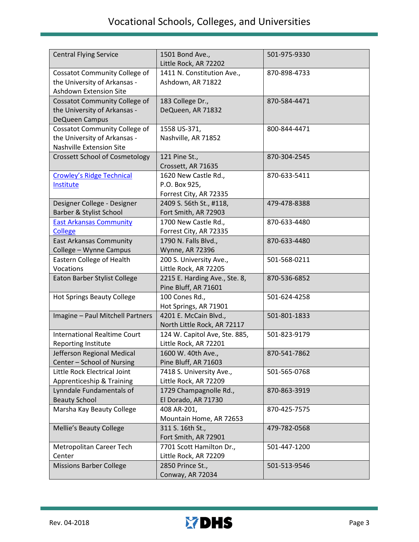| <b>Central Flying Service</b>                                                                         | 1501 Bond Ave.,<br>Little Rock, AR 72202                        | 501-975-9330 |
|-------------------------------------------------------------------------------------------------------|-----------------------------------------------------------------|--------------|
| <b>Cossatot Community College of</b><br>the University of Arkansas -<br><b>Ashdown Extension Site</b> | 1411 N. Constitution Ave.,<br>Ashdown, AR 71822                 | 870-898-4733 |
| <b>Cossatot Community College of</b><br>the University of Arkansas -<br>DeQueen Campus                | 183 College Dr.,<br>DeQueen, AR 71832                           | 870-584-4471 |
| <b>Cossatot Community College of</b><br>the University of Arkansas -<br>Nashville Extension Site      | 1558 US-371,<br>Nashville, AR 71852                             | 800-844-4471 |
| <b>Crossett School of Cosmetology</b>                                                                 | 121 Pine St.,<br>Crossett, AR 71635                             | 870-304-2545 |
| <b>Crowley's Ridge Technical</b><br>Institute                                                         | 1620 New Castle Rd.,<br>P.O. Box 925,<br>Forrest City, AR 72335 | 870-633-5411 |
| Designer College - Designer<br><b>Barber &amp; Stylist School</b>                                     | 2409 S. 56th St., #118,<br>Fort Smith, AR 72903                 | 479-478-8388 |
| <b>East Arkansas Community</b><br><b>College</b>                                                      | 1700 New Castle Rd.,<br>Forrest City, AR 72335                  | 870-633-4480 |
| <b>East Arkansas Community</b><br>College - Wynne Campus                                              | 1790 N. Falls Blvd.,<br><b>Wynne, AR 72396</b>                  | 870-633-4480 |
| Eastern College of Health<br>Vocations                                                                | 200 S. University Ave.,<br>Little Rock, AR 72205                | 501-568-0211 |
| Eaton Barber Stylist College                                                                          | 2215 E. Harding Ave., Ste. 8,<br>Pine Bluff, AR 71601           | 870-536-6852 |
| <b>Hot Springs Beauty College</b>                                                                     | 100 Cones Rd.,<br>Hot Springs, AR 71901                         | 501-624-4258 |
| Imagine - Paul Mitchell Partners                                                                      | 4201 E. McCain Blvd.,<br>North Little Rock, AR 72117            | 501-801-1833 |
| <b>International Realtime Court</b><br>Reporting Institute                                            | 124 W. Capitol Ave, Ste. 885,<br>Little Rock, AR 72201          | 501-823-9179 |
| Jefferson Regional Medical<br>Center - School of Nursing                                              | 1600 W. 40th Ave.<br>Pine Bluff, AR 71603                       | 870-541-7862 |
| Little Rock Electrical Joint<br>Apprenticeship & Training                                             | 7418 S. University Ave.,<br>Little Rock, AR 72209               | 501-565-0768 |
| Lynndale Fundamentals of<br><b>Beauty School</b>                                                      | 1729 Champagnolle Rd.,<br>El Dorado, AR 71730                   | 870-863-3919 |
| Marsha Kay Beauty College                                                                             | 408 AR-201,<br>Mountain Home, AR 72653                          | 870-425-7575 |
| <b>Mellie's Beauty College</b>                                                                        | 311 S. 16th St.,<br>Fort Smith, AR 72901                        | 479-782-0568 |
| Metropolitan Career Tech<br>Center                                                                    | 7701 Scott Hamilton Dr.,<br>Little Rock, AR 72209               | 501-447-1200 |
| <b>Missions Barber College</b>                                                                        | 2850 Prince St.,<br>Conway, AR 72034                            | 501-513-9546 |

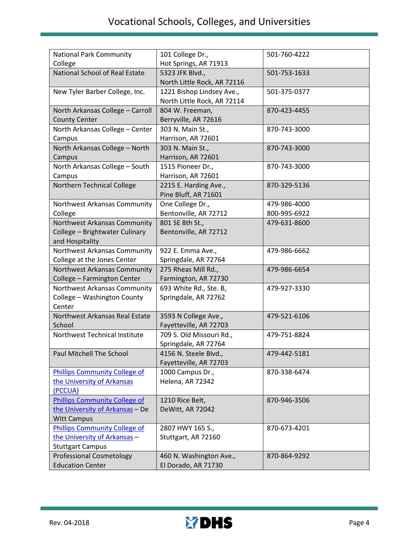| <b>National Park Community</b>       | 101 College Dr.,                                         | 501-760-4222 |
|--------------------------------------|----------------------------------------------------------|--------------|
| College                              | Hot Springs, AR 71913                                    |              |
| National School of Real Estate       | 5323 JFK Blvd.,<br>North Little Rock, AR 72116           | 501-753-1633 |
| New Tyler Barber College, Inc.       | 1221 Bishop Lindsey Ave.,<br>North Little Rock, AR 72114 | 501-375-0377 |
| North Arkansas College - Carroll     | 804 W. Freeman,                                          | 870-423-4455 |
| <b>County Center</b>                 | Berryville, AR 72616                                     |              |
| North Arkansas College - Center      | 303 N. Main St.,                                         | 870-743-3000 |
| Campus                               | Harrison, AR 72601                                       |              |
| North Arkansas College - North       | 303 N. Main St.,                                         | 870-743-3000 |
| Campus                               | Harrison, AR 72601                                       |              |
| North Arkansas College - South       | 1515 Pioneer Dr.,                                        | 870-743-3000 |
| Campus                               | Harrison, AR 72601                                       |              |
| Northern Technical College           | 2215 E. Harding Ave.,                                    | 870-329-5136 |
|                                      | Pine Bluff, AR 71601                                     |              |
| Northwest Arkansas Community         | One College Dr.,                                         | 479-986-4000 |
| College                              | Bentonville, AR 72712                                    | 800-995-6922 |
| Northwest Arkansas Community         | 801 SE 8th St.,                                          | 479-631-8600 |
| College - Brightwater Culinary       | Bentonville, AR 72712                                    |              |
| and Hospitality                      |                                                          |              |
| Northwest Arkansas Community         | 922 E. Emma Ave.,                                        | 479-986-6662 |
| College at the Jones Center          | Springdale, AR 72764                                     |              |
| Northwest Arkansas Community         | 275 Rheas Mill Rd.,                                      | 479-986-6654 |
| College - Farmington Center          | Farmington, AR 72730                                     |              |
| Northwest Arkansas Community         | 693 White Rd., Ste. B,                                   | 479-927-3330 |
| College - Washington County          | Springdale, AR 72762                                     |              |
| Center                               |                                                          |              |
| Northwest Arkansas Real Estate       | 3593 N College Ave.,                                     | 479-521-6106 |
| School                               | Fayetteville, AR 72703                                   |              |
| Northwest Technical Institute        | 709 S. Old Missouri Rd.,                                 | 479-751-8824 |
|                                      | Springdale, AR 72764                                     |              |
| Paul Mitchell The School             | 4156 N. Steele Blvd.,                                    | 479-442-5181 |
|                                      | Fayetteville, AR 72703                                   |              |
| <b>Phillips Community College of</b> | 1000 Campus Dr.,                                         | 870-338-6474 |
| the University of Arkansas           | Helena, AR 72342                                         |              |
| (PCCUA)                              |                                                          |              |
| <b>Phillips Community College of</b> | 1210 Rice Belt,                                          | 870-946-3506 |
| the University of Arkansas - De      | DeWitt, AR 72042                                         |              |
| <b>Witt Campus</b>                   |                                                          |              |
| <b>Phillips Community College of</b> | 2807 HWY 165 S.,                                         | 870-673-4201 |
| the University of Arkansas -         | Stuttgart, AR 72160                                      |              |
| <b>Stuttgart Campus</b>              |                                                          |              |
| <b>Professional Cosmetology</b>      | 460 N. Washington Ave.,                                  | 870-864-9292 |
| <b>Education Center</b>              | El Dorado, AR 71730                                      |              |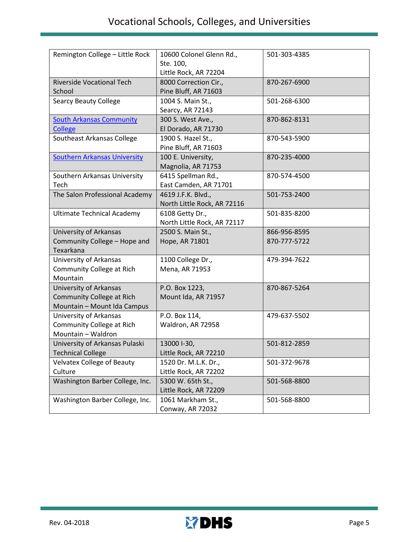| Remington College - Little Rock     | 10600 Colonel Glenn Rd.,<br>Ste. 100, | 501-303-4385 |
|-------------------------------------|---------------------------------------|--------------|
|                                     | Little Rock, AR 72204                 |              |
| <b>Riverside Vocational Tech</b>    | 8000 Correction Cir.,                 | 870-267-6900 |
| School                              | Pine Bluff, AR 71603                  |              |
| <b>Searcy Beauty College</b>        | 1004 S. Main St.,                     | 501-268-6300 |
|                                     | Searcy, AR 72143                      |              |
| <b>South Arkansas Community</b>     | 300 S. West Ave.,                     | 870-862-8131 |
| <b>College</b>                      | El Dorado, AR 71730                   |              |
| Southeast Arkansas College          | 1900 S. Hazel St.,                    | 870-543-5900 |
|                                     | Pine Bluff, AR 71603                  |              |
| <b>Southern Arkansas University</b> | 100 E. University,                    | 870-235-4000 |
|                                     | Magnolia, AR 71753                    |              |
| Southern Arkansas University        | 6415 Spellman Rd.,                    | 870-574-4500 |
| Tech                                | East Camden, AR 71701                 |              |
| The Salon Professional Academy      | 4619 J.F.K. Blvd.,                    | 501-753-2400 |
|                                     | North Little Rock, AR 72116           |              |
| <b>Ultimate Technical Academy</b>   | 6108 Getty Dr.,                       | 501-835-8200 |
|                                     | North Little Rock, AR 72117           |              |
| University of Arkansas              | 2500 S. Main St.,                     | 866-956-8595 |
| Community College - Hope and        | Hope, AR 71801                        | 870-777-5722 |
| Texarkana                           |                                       |              |
| University of Arkansas              | 1100 College Dr.,                     | 479-394-7622 |
| Community College at Rich           | Mena, AR 71953                        |              |
| Mountain                            |                                       |              |
| <b>University of Arkansas</b>       | P.O. Box 1223,                        | 870-867-5264 |
| Community College at Rich           | Mount Ida, AR 71957                   |              |
| Mountain - Mount Ida Campus         |                                       |              |
| University of Arkansas              | P.O. Box 114,                         | 479-637-5502 |
| Community College at Rich           | Waldron, AR 72958                     |              |
| Mountain - Waldron                  |                                       |              |
| University of Arkansas Pulaski      | 13000 I-30,                           | 501-812-2859 |
| <b>Technical College</b>            | Little Rock, AR 72210                 |              |
| <b>Velvatex College of Beauty</b>   | 1520 Dr. M.L.K. Dr.,                  | 501-372-9678 |
| Culture                             | Little Rock, AR 72202                 |              |
| Washington Barber College, Inc.     | 5300 W. 65th St.,                     | 501-568-8800 |
|                                     | Little Rock, AR 72209                 |              |
| Washington Barber College, Inc.     | 1061 Markham St.,                     | 501-568-8800 |
|                                     | Conway, AR 72032                      |              |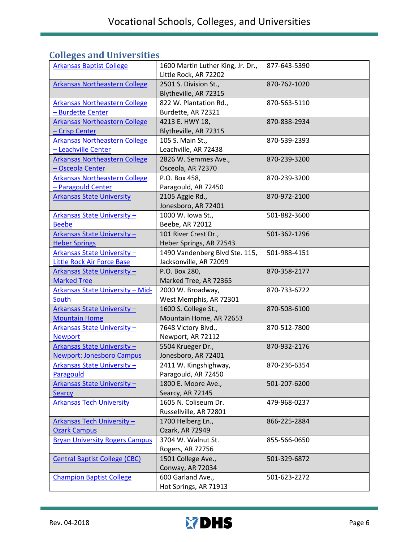## **Colleges and Universities**

| <b>Arkansas Baptist College</b>                                 | 1600 Martin Luther King, Jr. Dr.,<br>Little Rock, AR 72202 | 877-643-5390 |
|-----------------------------------------------------------------|------------------------------------------------------------|--------------|
| <b>Arkansas Northeastern College</b>                            | 2501 S. Division St.,<br>Blytheville, AR 72315             | 870-762-1020 |
| <b>Arkansas Northeastern College</b><br>- Burdette Center       | 822 W. Plantation Rd.,<br>Burdette, AR 72321               | 870-563-5110 |
| <b>Arkansas Northeastern College</b><br>- Crisp Center          | 4213 E. HWY 18,<br>Blytheville, AR 72315                   | 870-838-2934 |
| <b>Arkansas Northeastern College</b><br>- Leachville Center     | 105 S. Main St.,<br>Leachville, AR 72438                   | 870-539-2393 |
| <b>Arkansas Northeastern College</b><br>- Osceola Center        | 2826 W. Semmes Ave.,<br>Osceola, AR 72370                  | 870-239-3200 |
| <b>Arkansas Northeastern College</b><br>- Paragould Center      | P.O. Box 458,<br>Paragould, AR 72450                       | 870-239-3200 |
| <b>Arkansas State University</b>                                | 2105 Aggie Rd.,<br>Jonesboro, AR 72401                     | 870-972-2100 |
| <b>Arkansas State University -</b><br><b>Beebe</b>              | 1000 W. Iowa St.,<br>Beebe, AR 72012                       | 501-882-3600 |
| Arkansas State University-<br><b>Heber Springs</b>              | 101 River Crest Dr.,<br>Heber Springs, AR 72543            | 501-362-1296 |
| Arkansas State University-<br><b>Little Rock Air Force Base</b> | 1490 Vandenberg Blvd Ste. 115,<br>Jacksonville, AR 72099   | 501-988-4151 |
| <b>Arkansas State University -</b><br><b>Marked Tree</b>        | P.O. Box 280,<br>Marked Tree, AR 72365                     | 870-358-2177 |
| <b>Arkansas State University - Mid-</b><br>South                | 2000 W. Broadway,<br>West Memphis, AR 72301                | 870-733-6722 |
| <b>Arkansas State University -</b><br><b>Mountain Home</b>      | 1600 S. College St.,<br>Mountain Home, AR 72653            | 870-508-6100 |
| Arkansas State University -<br><b>Newport</b>                   | 7648 Victory Blvd.,<br>Newport, AR 72112                   | 870-512-7800 |
| Arkansas State University-<br><b>Newport: Jonesboro Campus</b>  | 5504 Krueger Dr.,<br>Jonesboro, AR 72401                   | 870-932-2176 |
| Arkansas State University-<br>Paragould                         | 2411 W. Kingshighway,<br>Paragould, AR 72450               | 870-236-6354 |
| Arkansas State University-<br><b>Searcy</b>                     | 1800 E. Moore Ave.,<br>Searcy, AR 72145                    | 501-207-6200 |
| <b>Arkansas Tech University</b>                                 | 1605 N. Coliseum Dr.<br>Russellville, AR 72801             | 479-968-0237 |
| <b>Arkansas Tech University -</b><br><b>Ozark Campus</b>        | 1700 Helberg Ln.,<br>Ozark, AR 72949                       | 866-225-2884 |
| <b>Bryan University Rogers Campus</b>                           | 3704 W. Walnut St.<br>Rogers, AR 72756                     | 855-566-0650 |
| <b>Central Baptist College (CBC)</b>                            | 1501 College Ave.,<br>Conway, AR 72034                     | 501-329-6872 |
| <b>Champion Baptist College</b>                                 | 600 Garland Ave.,<br>Hot Springs, AR 71913                 | 501-623-2272 |

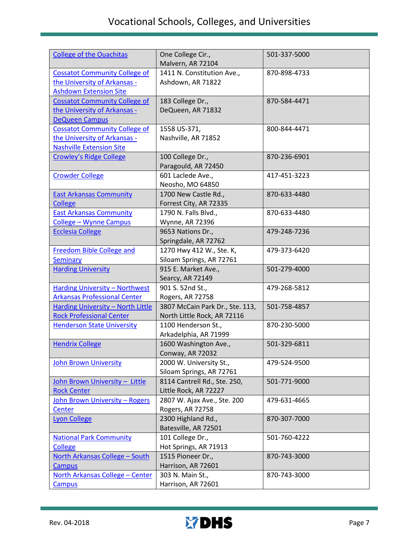| <b>College of the Ouachitas</b>                                                                         | One College Cir.,<br>Malvern, AR 72104                         | 501-337-5000 |
|---------------------------------------------------------------------------------------------------------|----------------------------------------------------------------|--------------|
| <b>Cossatot Community College of</b><br>the University of Arkansas -<br><b>Ashdown Extension Site</b>   | 1411 N. Constitution Ave.,<br>Ashdown, AR 71822                | 870-898-4733 |
| <b>Cossatot Community College of</b><br>the University of Arkansas -<br><b>DeQueen Campus</b>           | 183 College Dr.,<br>DeQueen, AR 71832                          | 870-584-4471 |
| <b>Cossatot Community College of</b><br>the University of Arkansas -<br><b>Nashville Extension Site</b> | 1558 US-371,<br>Nashville, AR 71852                            | 800-844-4471 |
| <b>Crowley's Ridge College</b>                                                                          | 100 College Dr.,<br>Paragould, AR 72450                        | 870-236-6901 |
| <b>Crowder College</b>                                                                                  | 601 Laclede Ave.,<br>Neosho, MO 64850                          | 417-451-3223 |
| <b>East Arkansas Community</b><br><b>College</b>                                                        | 1700 New Castle Rd.,<br>Forrest City, AR 72335                 | 870-633-4480 |
| <b>East Arkansas Community</b><br><b>College - Wynne Campus</b>                                         | 1790 N. Falls Blvd.,<br>Wynne, AR 72396                        | 870-633-4480 |
| <b>Ecclesia College</b>                                                                                 | 9653 Nations Dr.,<br>Springdale, AR 72762                      | 479-248-7236 |
| <b>Freedom Bible College and</b><br>Seminary                                                            | 1270 Hwy 412 W., Ste. K,<br>Siloam Springs, AR 72761           | 479-373-6420 |
| <b>Harding University</b>                                                                               | 915 E. Market Ave.,<br>Searcy, AR 72149                        | 501-279-4000 |
| <b>Harding University - Northwest</b><br><b>Arkansas Professional Center</b>                            | 901 S. 52nd St.,<br>Rogers, AR 72758                           | 479-268-5812 |
| Harding University - North Little<br><b>Rock Professional Center</b>                                    | 3807 McCain Park Dr., Ste. 113,<br>North Little Rock, AR 72116 | 501-758-4857 |
| <b>Henderson State University</b>                                                                       | 1100 Henderson St.,<br>Arkadelphia, AR 71999                   | 870-230-5000 |
| <b>Hendrix College</b>                                                                                  | 1600 Washington Ave.,<br>Conway, AR 72032                      | 501-329-6811 |
| <b>John Brown University</b>                                                                            | 2000 W. University St.,<br>Siloam Springs, AR 72761            | 479-524-9500 |
| John Brown University - Little<br><b>Rock Center</b>                                                    | 8114 Cantrell Rd., Ste. 250,<br>Little Rock, AR 72227          | 501-771-9000 |
| John Brown University - Rogers<br>Center                                                                | 2807 W. Ajax Ave., Ste. 200<br>Rogers, AR 72758                | 479-631-4665 |
| <b>Lyon College</b>                                                                                     | 2300 Highland Rd.,<br>Batesville, AR 72501                     | 870-307-7000 |
| <b>National Park Community</b><br><b>College</b>                                                        | 101 College Dr.,<br>Hot Springs, AR 71913                      | 501-760-4222 |
| North Arkansas College - South<br>Campus                                                                | 1515 Pioneer Dr.,<br>Harrison, AR 72601                        | 870-743-3000 |
| North Arkansas College - Center<br><b>Campus</b>                                                        | 303 N. Main St.,<br>Harrison, AR 72601                         | 870-743-3000 |

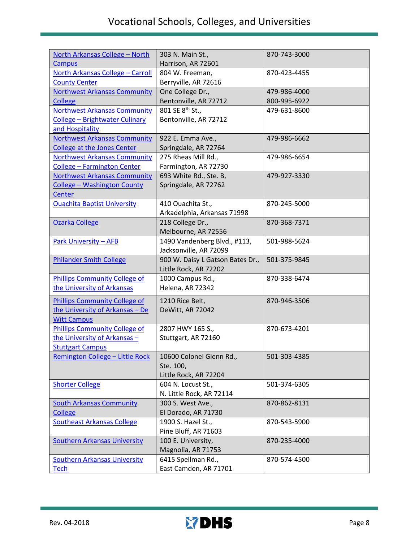| North Arkansas College - North<br><b>Campus</b>       | 303 N. Main St.,<br>Harrison, AR 72601               | 870-743-3000 |
|-------------------------------------------------------|------------------------------------------------------|--------------|
| North Arkansas College - Carroll                      | 804 W. Freeman,                                      | 870-423-4455 |
| <b>County Center</b>                                  | Berryville, AR 72616<br>One College Dr.,             | 479-986-4000 |
| <b>Northwest Arkansas Community</b>                   |                                                      | 800-995-6922 |
| <b>College</b><br><b>Northwest Arkansas Community</b> | Bentonville, AR 72712<br>801 SE 8 <sup>th</sup> St., | 479-631-8600 |
| College - Brightwater Culinary                        | Bentonville, AR 72712                                |              |
| and Hospitality                                       |                                                      |              |
| <b>Northwest Arkansas Community</b>                   | 922 E. Emma Ave.,                                    | 479-986-6662 |
| <b>College at the Jones Center</b>                    | Springdale, AR 72764                                 |              |
| <b>Northwest Arkansas Community</b>                   | 275 Rheas Mill Rd.,                                  | 479-986-6654 |
| <b>College - Farmington Center</b>                    | Farmington, AR 72730                                 |              |
| <b>Northwest Arkansas Community</b>                   | 693 White Rd., Ste. B,                               | 479-927-3330 |
| <b>College - Washington County</b>                    | Springdale, AR 72762                                 |              |
| Center                                                |                                                      |              |
| <b>Ouachita Baptist University</b>                    | 410 Ouachita St.,                                    | 870-245-5000 |
|                                                       | Arkadelphia, Arkansas 71998                          |              |
| Ozarka College                                        | 218 College Dr.,                                     | 870-368-7371 |
|                                                       | Melbourne, AR 72556                                  |              |
| <b>Park University - AFB</b>                          | 1490 Vandenberg Blvd., #113,                         | 501-988-5624 |
|                                                       | Jacksonville, AR 72099                               |              |
| <b>Philander Smith College</b>                        | 900 W. Daisy L Gatson Bates Dr.,                     | 501-375-9845 |
|                                                       | Little Rock, AR 72202                                |              |
| <b>Phillips Community College of</b>                  | 1000 Campus Rd.,                                     | 870-338-6474 |
| the University of Arkansas                            | Helena, AR 72342                                     |              |
| <b>Phillips Community College of</b>                  | 1210 Rice Belt,                                      | 870-946-3506 |
| the University of Arkansas - De                       | DeWitt, AR 72042                                     |              |
| <b>Witt Campus</b>                                    |                                                      |              |
| <b>Phillips Community College of</b>                  | 2807 HWY 165 S.,                                     | 870-673-4201 |
| the University of Arkansas -                          | Stuttgart, AR 72160                                  |              |
| <b>Stuttgart Campus</b>                               |                                                      |              |
| <u> Remington College – Little Rock</u>               | 10600 Colonel Glenn Rd.,                             | 501-303-4385 |
|                                                       | Ste. 100,                                            |              |
|                                                       | Little Rock, AR 72204                                |              |
| <b>Shorter College</b>                                | 604 N. Locust St.,<br>N. Little Rock, AR 72114       | 501-374-6305 |
| <b>South Arkansas Community</b>                       | 300 S. West Ave.,                                    | 870-862-8131 |
| <b>College</b>                                        | El Dorado, AR 71730                                  |              |
| <b>Southeast Arkansas College</b>                     | 1900 S. Hazel St.,                                   | 870-543-5900 |
|                                                       | Pine Bluff, AR 71603                                 |              |
| <b>Southern Arkansas University</b>                   | 100 E. University,                                   | 870-235-4000 |
|                                                       | Magnolia, AR 71753                                   |              |
| <b>Southern Arkansas University</b>                   | 6415 Spellman Rd.,                                   | 870-574-4500 |
| <b>Tech</b>                                           | East Camden, AR 71701                                |              |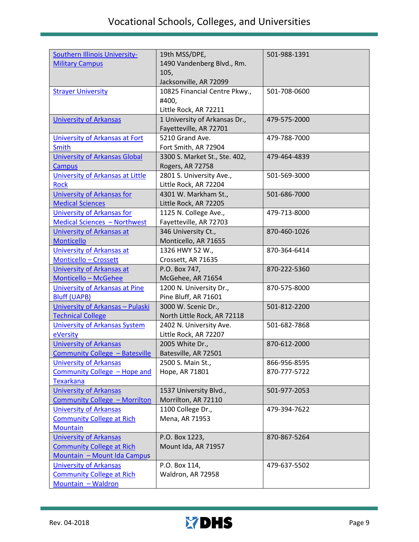| <b>Southern Illinois University-</b>                              | 19th MSS/DPE,                               | 501-988-1391 |
|-------------------------------------------------------------------|---------------------------------------------|--------------|
| <b>Military Campus</b>                                            | 1490 Vandenberg Blvd., Rm.                  |              |
|                                                                   | 105,                                        |              |
|                                                                   | Jacksonville, AR 72099                      |              |
| <b>Strayer University</b>                                         | 10825 Financial Centre Pkwy.,               | 501-708-0600 |
|                                                                   | #400,                                       |              |
|                                                                   | Little Rock, AR 72211                       |              |
| <b>University of Arkansas</b>                                     | 1 University of Arkansas Dr.,               | 479-575-2000 |
|                                                                   | Fayetteville, AR 72701                      |              |
| <b>University of Arkansas at Fort</b>                             | 5210 Grand Ave.                             | 479-788-7000 |
| <b>Smith</b>                                                      | Fort Smith, AR 72904                        |              |
| <b>University of Arkansas Global</b>                              | 3300 S. Market St., Ste. 402,               | 479-464-4839 |
| <b>Campus</b>                                                     | Rogers, AR 72758                            |              |
| <b>University of Arkansas at Little</b>                           | 2801 S. University Ave.,                    | 501-569-3000 |
| <b>Rock</b>                                                       | Little Rock, AR 72204                       |              |
| University of Arkansas for                                        | 4301 W. Markham St.,                        | 501-686-7000 |
| <b>Medical Sciences</b>                                           | Little Rock, AR 72205                       |              |
| <b>University of Arkansas for</b>                                 | 1125 N. College Ave.,                       | 479-713-8000 |
| <b>Medical Sciences - Northwest</b>                               | Fayetteville, AR 72703                      | 870-460-1026 |
| <b>University of Arkansas at</b><br><b>Monticello</b>             | 346 University Ct.,<br>Monticello, AR 71655 |              |
| <b>University of Arkansas at</b>                                  | 1326 HWY 52 W.,                             | 870-364-6414 |
| Monticello - Crossett                                             | Crossett, AR 71635                          |              |
| <b>University of Arkansas at</b>                                  | P.O. Box 747,                               | 870-222-5360 |
| Monticello - McGehee                                              | McGehee, AR 71654                           |              |
| <b>University of Arkansas at Pine</b>                             | 1200 N. University Dr.,                     | 870-575-8000 |
| <b>Bluff (UAPB)</b>                                               | Pine Bluff, AR 71601                        |              |
| University of Arkansas - Pulaski                                  | 3000 W. Scenic Dr.,                         | 501-812-2200 |
| <b>Technical College</b>                                          | North Little Rock, AR 72118                 |              |
| <b>University of Arkansas System</b>                              | 2402 N. University Ave.                     | 501-682-7868 |
| eVersity                                                          | Little Rock, AR 72207                       |              |
| <b>University of Arkansas</b>                                     | 2005 White Dr.,                             | 870-612-2000 |
| Community College - Batesville                                    | Batesville, AR 72501                        |              |
| <b>University of Arkansas</b>                                     | 2500 S. Main St.,                           | 866-956-8595 |
| Community College - Hope and                                      | Hope, AR 71801                              | 870-777-5722 |
| <b>Texarkana</b>                                                  |                                             |              |
| <b>University of Arkansas</b>                                     | 1537 University Blvd.,                      | 501-977-2053 |
| <b>Community College - Morrilton</b>                              | Morrilton, AR 72110                         |              |
| <b>University of Arkansas</b>                                     | 1100 College Dr.,                           | 479-394-7622 |
| <b>Community College at Rich</b>                                  | Mena, AR 71953                              |              |
| <b>Mountain</b>                                                   |                                             |              |
| <b>University of Arkansas</b>                                     | P.O. Box 1223,                              | 870-867-5264 |
| <b>Community College at Rich</b>                                  | Mount Ida, AR 71957                         |              |
| Mountain - Mount Ida Campus                                       |                                             |              |
| <b>University of Arkansas</b><br><b>Community College at Rich</b> | P.O. Box 114,<br>Waldron, AR 72958          | 479-637-5502 |
| Mountain - Waldron                                                |                                             |              |
|                                                                   |                                             |              |